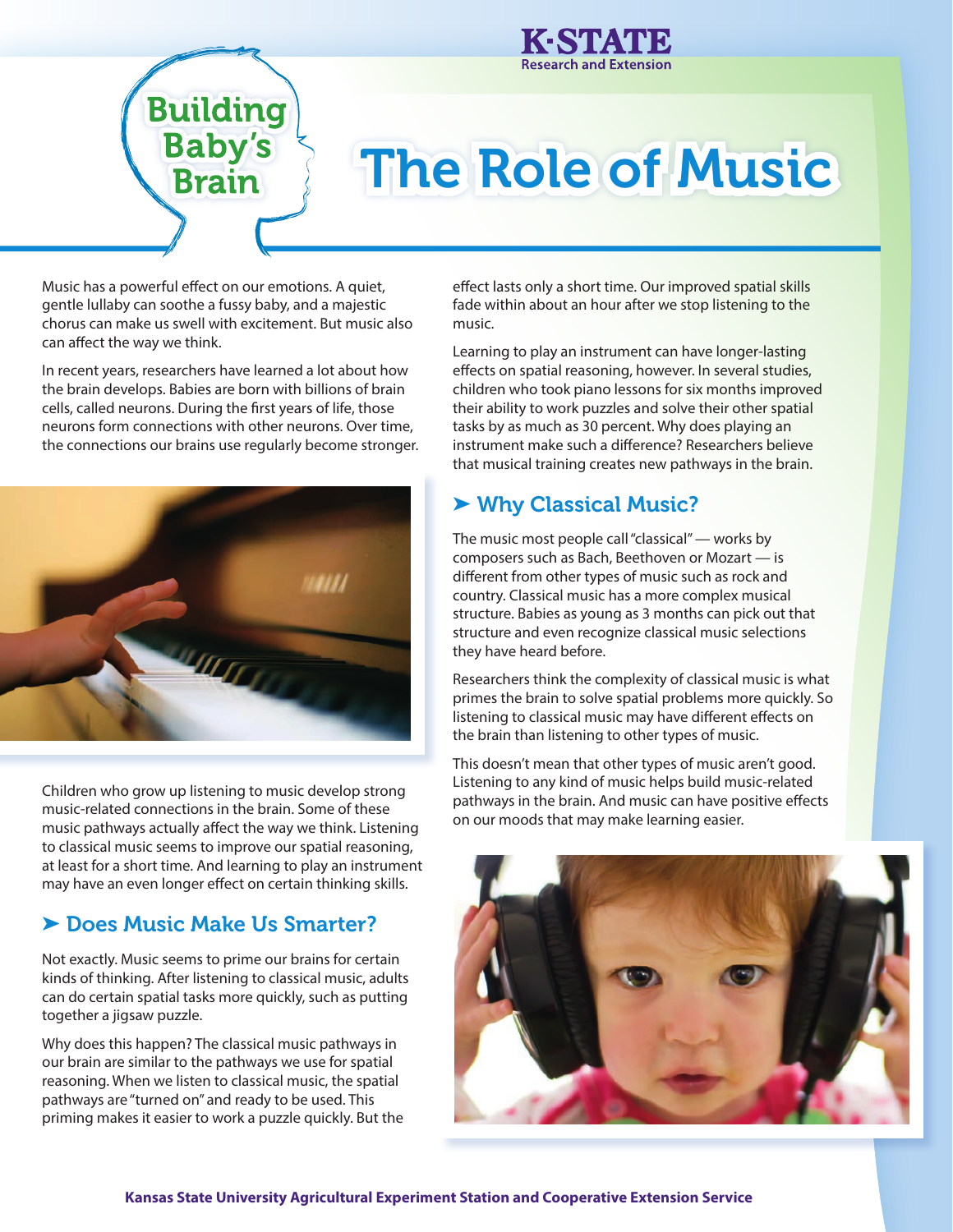

## **Building Baby's**<br>**Brain**

# The Role of Music

Music has a powerful effect on our emotions. A quiet, gentle lullaby can soothe a fussy baby, and a majestic chorus can make us swell with excitement. But music also can affect the way we think.

In recent years, researchers have learned a lot about how the brain develops. Babies are born with billions of brain cells, called neurons. During the first years of life, those neurons form connections with other neurons. Over time, the connections our brains use regularly become stronger.



Children who grow up listening to music develop strong music-related connections in the brain. Some of these music pathways actually affect the way we think. Listening to classical music seems to improve our spatial reasoning, at least for a short time. And learning to play an instrument may have an even longer effect on certain thinking skills.

## ➤ Does Music Make Us Smarter?

Not exactly. Music seems to prime our brains for certain kinds of thinking. After listening to classical music, adults can do certain spatial tasks more quickly, such as putting together a jigsaw puzzle.

Why does this happen? The classical music pathways in our brain are similar to the pathways we use for spatial reasoning. When we listen to classical music, the spatial pathways are "turned on" and ready to be used. This priming makes it easier to work a puzzle quickly. But the

effect lasts only a short time. Our improved spatial skills fade within about an hour after we stop listening to the music.

Learning to play an instrument can have longer-lasting effects on spatial reasoning, however. In several studies, children who took piano lessons for six months improved their ability to work puzzles and solve their other spatial tasks by as much as 30 percent. Why does playing an instrument make such a difference? Researchers believe that musical training creates new pathways in the brain.

### ➤ Why Classical Music?

The music most people call "classical" — works by composers such as Bach, Beethoven or Mozart — is different from other types of music such as rock and country. Classical music has a more complex musical structure. Babies as young as 3 months can pick out that structure and even recognize classical music selections they have heard before.

Researchers think the complexity of classical music is what primes the brain to solve spatial problems more quickly. So listening to classical music may have different effects on the brain than listening to other types of music.

This doesn't mean that other types of music aren't good. Listening to any kind of music helps build music-related pathways in the brain. And music can have positive effects on our moods that may make learning easier.